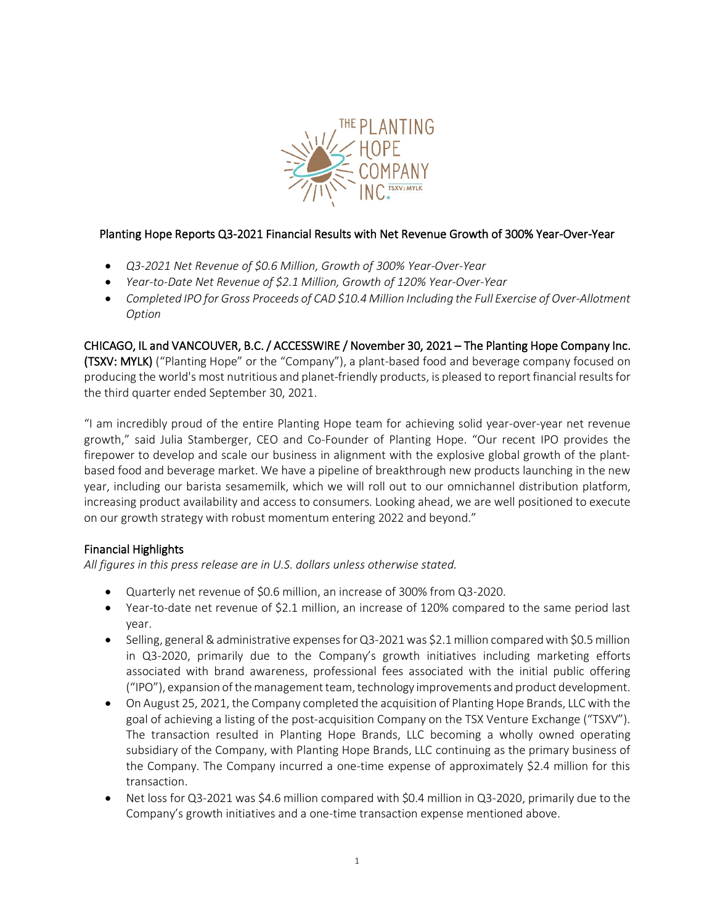

# Planting Hope Reports Q3-2021 Financial Results with Net Revenue Growth of 300% Year-Over-Year

- *Q3-2021 Net Revenue of \$0.6 Million, Growth of 300% Year-Over-Year*
- *Year-to-Date Net Revenue of \$2.1 Million, Growth of 120% Year-Over-Year*
- *Completed IPO for Gross Proceeds of CAD \$10.4 Million Including the Full Exercise of Over-Allotment Option*

CHICAGO, IL and VANCOUVER, B.C. / ACCESSWIRE / November 30, 2021 – The Planting Hope Company Inc.

(TSXV: MYLK) ("Planting Hope" or the "Company"), a plant-based food and beverage company focused on producing the world's most nutritious and planet-friendly products, is pleased to report financial results for the third quarter ended September 30, 2021.

"I am incredibly proud of the entire Planting Hope team for achieving solid year-over-year net revenue growth," said Julia Stamberger, CEO and Co-Founder of Planting Hope. "Our recent IPO provides the firepower to develop and scale our business in alignment with the explosive global growth of the plantbased food and beverage market. We have a pipeline of breakthrough new products launching in the new year, including our barista sesamemilk, which we will roll out to our omnichannel distribution platform, increasing product availability and access to consumers. Looking ahead, we are well positioned to execute on our growth strategy with robust momentum entering 2022 and beyond."

# Financial Highlights

*All figures in this press release are in U.S. dollars unless otherwise stated.* 

- Quarterly net revenue of \$0.6 million, an increase of 300% from Q3-2020.
- Year-to-date net revenue of \$2.1 million, an increase of 120% compared to the same period last year.
- Selling, general & administrative expenses for Q3-2021 was \$2.1 million compared with \$0.5 million in Q3-2020, primarily due to the Company's growth initiatives including marketing efforts associated with brand awareness, professional fees associated with the initial public offering ("IPO"), expansion of the management team, technology improvements and product development.
- On August 25, 2021, the Company completed the acquisition of Planting Hope Brands, LLC with the goal of achieving a listing of the post-acquisition Company on the TSX Venture Exchange ("TSXV"). The transaction resulted in Planting Hope Brands, LLC becoming a wholly owned operating subsidiary of the Company, with Planting Hope Brands, LLC continuing as the primary business of the Company. The Company incurred a one-time expense of approximately \$2.4 million for this transaction.
- Net loss for Q3-2021 was \$4.6 million compared with \$0.4 million in Q3-2020, primarily due to the Company's growth initiatives and a one-time transaction expense mentioned above.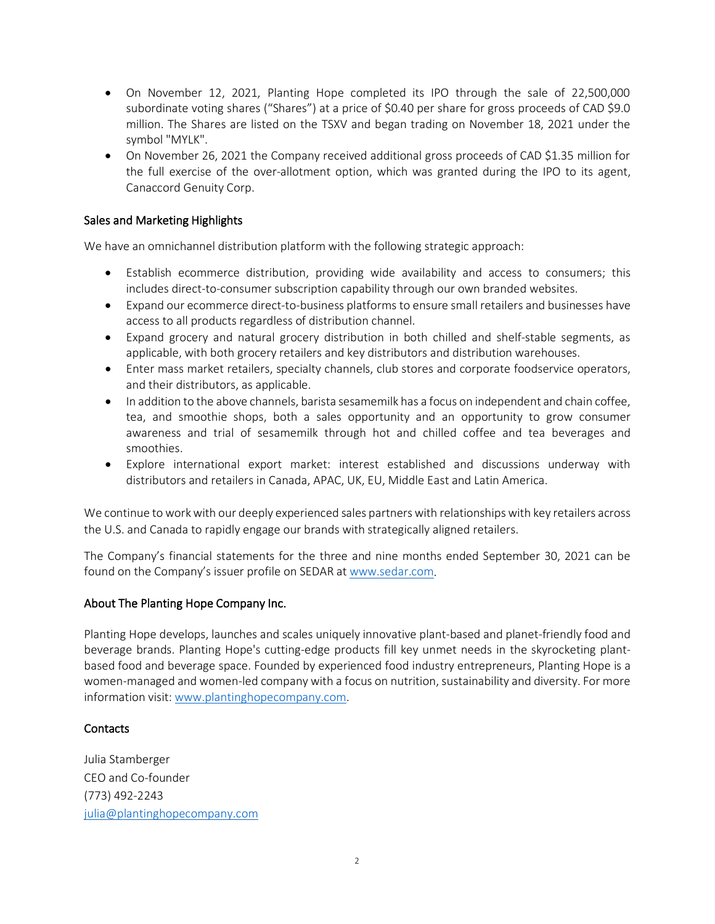- On November 12, 2021, Planting Hope completed its IPO through the sale of 22,500,000 subordinate voting shares ("Shares") at a price of \$0.40 per share for gross proceeds of CAD \$9.0 million. The Shares are listed on the TSXV and began trading on November 18, 2021 under the symbol "MYLK".
- On November 26, 2021 the Company received additional gross proceeds of CAD \$1.35 million for the full exercise of the over-allotment option, which was granted during the IPO to its agent, Canaccord Genuity Corp.

# Sales and Marketing Highlights

We have an omnichannel distribution platform with the following strategic approach:

- Establish ecommerce distribution, providing wide availability and access to consumers; this includes direct-to-consumer subscription capability through our own branded websites.
- Expand our ecommerce direct-to-business platforms to ensure small retailers and businesses have access to all products regardless of distribution channel.
- Expand grocery and natural grocery distribution in both chilled and shelf-stable segments, as applicable, with both grocery retailers and key distributors and distribution warehouses.
- Enter mass market retailers, specialty channels, club stores and corporate foodservice operators, and their distributors, as applicable.
- In addition to the above channels, barista sesamemilk has a focus on independent and chain coffee, tea, and smoothie shops, both a sales opportunity and an opportunity to grow consumer awareness and trial of sesamemilk through hot and chilled coffee and tea beverages and smoothies.
- Explore international export market: interest established and discussions underway with distributors and retailers in Canada, APAC, UK, EU, Middle East and Latin America.

We continue to work with our deeply experienced sales partners with relationships with key retailers across the U.S. and Canada to rapidly engage our brands with strategically aligned retailers.

The Company's financial statements for the three and nine months ended September 30, 2021 can be found on the Company's issuer profile on SEDAR a[t www.sedar.com.](http://www.sedar.com/)

## About The Planting Hope Company Inc.

Planting Hope develops, launches and scales uniquely innovative plant-based and planet-friendly food and beverage brands. Planting Hope's cutting-edge products fill key unmet needs in the skyrocketing plantbased food and beverage space. Founded by experienced food industry entrepreneurs, Planting Hope is a women-managed and women-led company with a focus on nutrition, sustainability and diversity. For more information visit: [www.plantinghopecompany.com.](http://www.plantinghopecompany.com/)

# **Contacts**

Julia Stamberger CEO and Co-founder (773) 492-2243 [julia@plantinghopecompany.com](mailto:julia@plantinghopecompany.com)